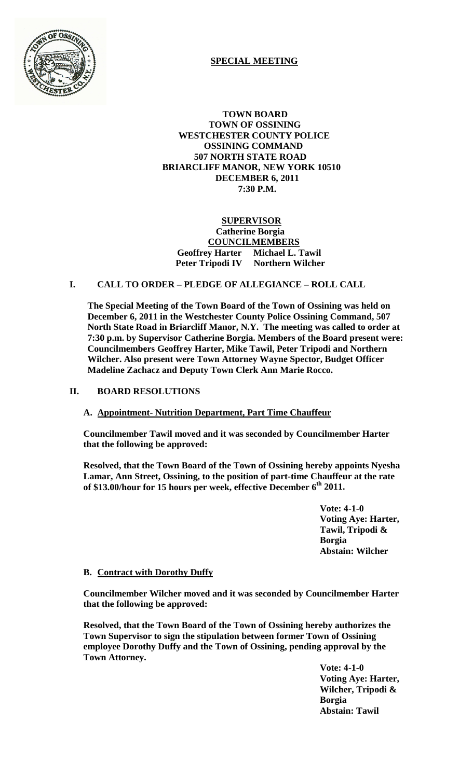

# **SPECIAL MEETING**

 **TOWN BOARD TOWN OF OSSINING WESTCHESTER COUNTY POLICE OSSINING COMMAND 507 NORTH STATE ROAD BRIARCLIFF MANOR, NEW YORK 10510 DECEMBER 6, 2011 7:30 P.M.**

### **SUPERVISOR Catherine Borgia COUNCILMEMBERS Geoffrey Harter Michael L. Tawil Peter Tripodi IV Northern Wilcher**

## **I. CALL TO ORDER – PLEDGE OF ALLEGIANCE – ROLL CALL**

**The Special Meeting of the Town Board of the Town of Ossining was held on December 6, 2011 in the Westchester County Police Ossining Command, 507 North State Road in Briarcliff Manor, N.Y. The meeting was called to order at 7:30 p.m. by Supervisor Catherine Borgia. Members of the Board present were: Councilmembers Geoffrey Harter, Mike Tawil, Peter Tripodi and Northern Wilcher. Also present were Town Attorney Wayne Spector, Budget Officer Madeline Zachacz and Deputy Town Clerk Ann Marie Rocco.**

#### **II. BOARD RESOLUTIONS**

#### **A. Appointment- Nutrition Department, Part Time Chauffeur**

**Councilmember Tawil moved and it was seconded by Councilmember Harter that the following be approved:**

**Resolved, that the Town Board of the Town of Ossining hereby appoints Nyesha Lamar, Ann Street, Ossining, to the position of part-time Chauffeur at the rate of \$13.00/hour for 15 hours per week, effective December 6th 2011.**

> **Vote: 4-1-0 Voting Aye: Harter, Tawil, Tripodi & Borgia Abstain: Wilcher**

#### **B. Contract with Dorothy Duffy**

**Councilmember Wilcher moved and it was seconded by Councilmember Harter that the following be approved:**

**Resolved, that the Town Board of the Town of Ossining hereby authorizes the Town Supervisor to sign the stipulation between former Town of Ossining employee Dorothy Duffy and the Town of Ossining, pending approval by the Town Attorney.**

**Vote: 4-1-0 Voting Aye: Harter, Wilcher, Tripodi & Borgia Abstain: Tawil**